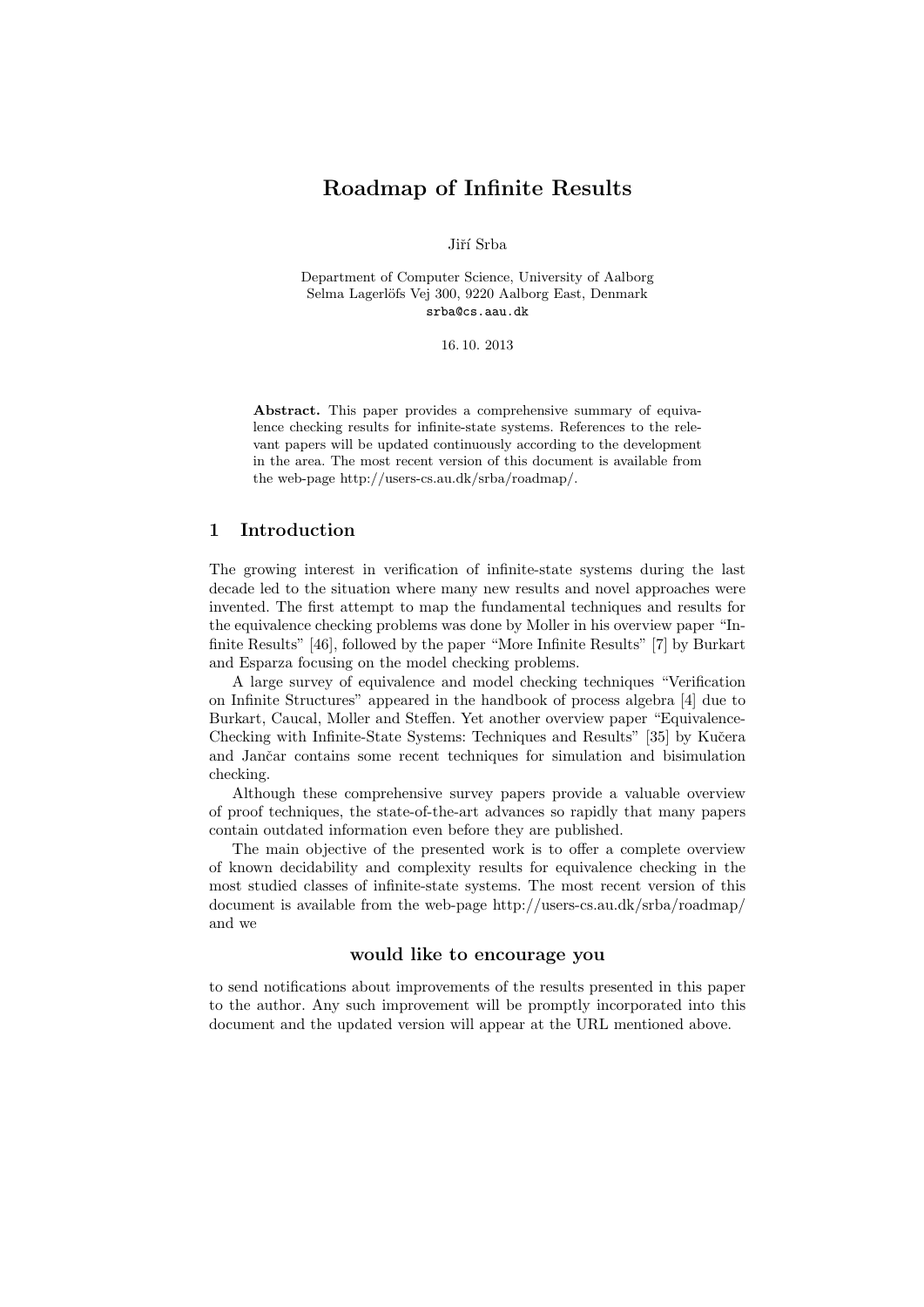# Roadmap of Infinite Results

Jiří Srba

Department of Computer Science, University of Aalborg Selma Lagerlöfs Vej 300, 9220 Aalborg East, Denmark srba@cs.aau.dk

16. 10. 2013

Abstract. This paper provides a comprehensive summary of equivalence checking results for infinite-state systems. References to the relevant papers will be updated continuously according to the development in the area. The most recent version of this document is available from the web-page http://users-cs.au.dk/srba/roadmap/.

#### 1 Introduction

The growing interest in verification of infinite-state systems during the last decade led to the situation where many new results and novel approaches were invented. The first attempt to map the fundamental techniques and results for the equivalence checking problems was done by Moller in his overview paper "Infinite Results" [46], followed by the paper "More Infinite Results" [7] by Burkart and Esparza focusing on the model checking problems.

A large survey of equivalence and model checking techniques "Verification on Infinite Structures" appeared in the handbook of process algebra [4] due to Burkart, Caucal, Moller and Steffen. Yet another overview paper "Equivalence-Checking with Infinite-State Systems: Techniques and Results" [35] by Kučera and Jančar contains some recent techniques for simulation and bisimulation checking.

Although these comprehensive survey papers provide a valuable overview of proof techniques, the state-of-the-art advances so rapidly that many papers contain outdated information even before they are published.

The main objective of the presented work is to offer a complete overview of known decidability and complexity results for equivalence checking in the most studied classes of infinite-state systems. The most recent version of this document is available from the web-page http://users-cs.au.dk/srba/roadmap/ and we

### would like to encourage you

to send notifications about improvements of the results presented in this paper to the author. Any such improvement will be promptly incorporated into this document and the updated version will appear at the URL mentioned above.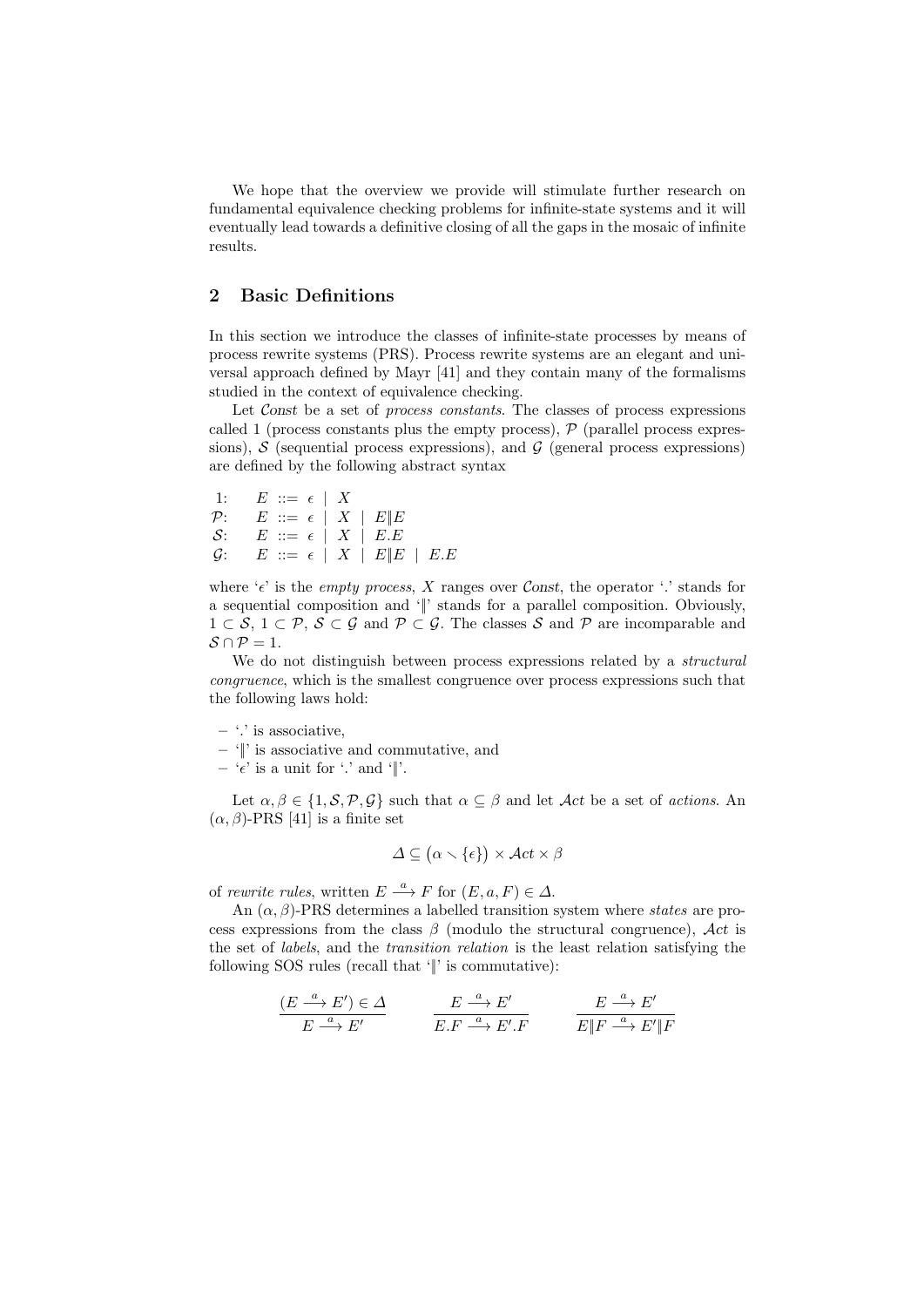We hope that the overview we provide will stimulate further research on fundamental equivalence checking problems for infinite-state systems and it will eventually lead towards a definitive closing of all the gaps in the mosaic of infinite results.

# 2 Basic Definitions

In this section we introduce the classes of infinite-state processes by means of process rewrite systems (PRS). Process rewrite systems are an elegant and universal approach defined by Mayr [41] and they contain many of the formalisms studied in the context of equivalence checking.

Let Const be a set of *process constants*. The classes of process expressions called 1 (process constants plus the empty process),  $P$  (parallel process expressions),  $S$  (sequential process expressions), and  $G$  (general process expressions) are defined by the following abstract syntax

1: 
$$
E ::= \epsilon \mid X
$$
  
\n $P: E ::= \epsilon \mid X \mid E \mid E$   
\n $S: E ::= \epsilon \mid X \mid E.E$   
\n $G: E ::= \epsilon \mid X \mid E \mid E \mid E.E$ 

where ' $\epsilon$ ' is the *empty process*, X ranges over Const, the operator '.' stands for a sequential composition and '||' stands for a parallel composition. Obviously,  $1 \subset S$ ,  $1 \subset \mathcal{P}, S \subset \mathcal{G}$  and  $\mathcal{P} \subset \mathcal{G}$ . The classes S and P are incomparable and  $\mathcal{S} \cap \mathcal{P} = 1.$ 

We do not distinguish between process expressions related by a *structural* congruence, which is the smallest congruence over process expressions such that the following laws hold:

- $-$  '.' is associative,
- '||' is associative and commutative, and
- ' $\epsilon$ ' is a unit for '.' and '||'.

Let  $\alpha, \beta \in \{1, \mathcal{S}, \mathcal{P}, \mathcal{G}\}\$  such that  $\alpha \subseteq \beta$  and let  $\mathcal{A}ct$  be a set of actions. An  $(\alpha, \beta)$ -PRS [41] is a finite set

$$
\Delta \subseteq (\alpha \smallsetminus \{\epsilon\}) \times \mathcal{A}ct \times \beta
$$

of rewrite rules, written  $E \stackrel{a}{\longrightarrow} F$  for  $(E, a, F) \in \Delta$ .

An  $(\alpha, \beta)$ -PRS determines a labelled transition system where *states* are process expressions from the class  $\beta$  (modulo the structural congruence), Act is the set of labels, and the transition relation is the least relation satisfying the following SOS rules (recall that '||' is commutative):

$$
\frac{(E \stackrel{a}{\longrightarrow} E') \in \Delta}{E \stackrel{a}{\longrightarrow} E'} \qquad \frac{E \stackrel{a}{\longrightarrow} E'}{E.F \stackrel{a}{\longrightarrow} E'.F} \qquad \frac{E \stackrel{a}{\longrightarrow} E'}{E \| F \stackrel{a}{\longrightarrow} E' \| F}
$$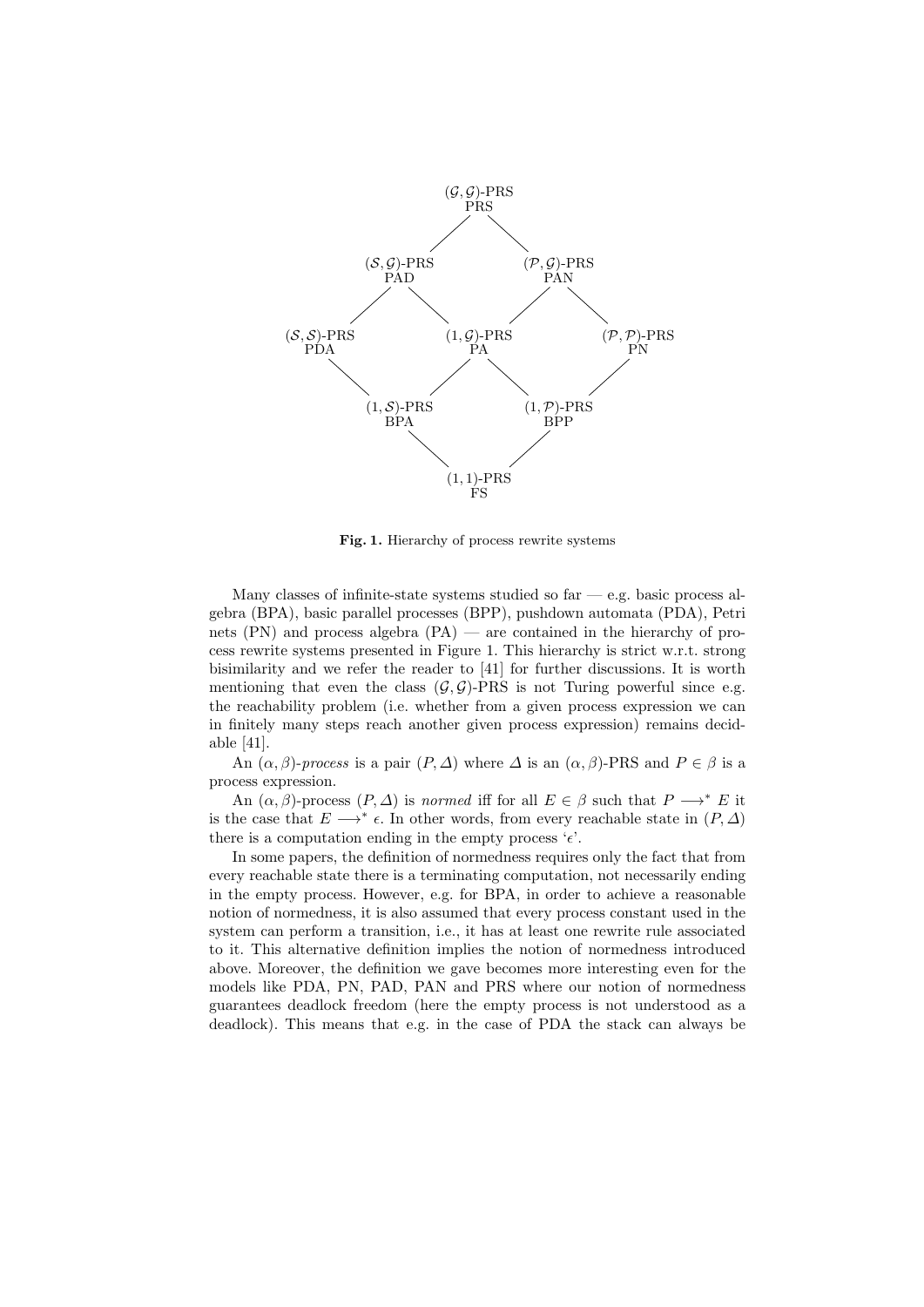

Fig. 1. Hierarchy of process rewrite systems

Many classes of infinite-state systems studied so far  $-$  e.g. basic process algebra (BPA), basic parallel processes (BPP), pushdown automata (PDA), Petri nets  $(PN)$  and process algebra  $(PA)$  — are contained in the hierarchy of process rewrite systems presented in Figure 1. This hierarchy is strict w.r.t. strong bisimilarity and we refer the reader to [41] for further discussions. It is worth mentioning that even the class  $(\mathcal{G}, \mathcal{G})$ -PRS is not Turing powerful since e.g. the reachability problem (i.e. whether from a given process expression we can in finitely many steps reach another given process expression) remains decidable [41].

An  $(\alpha, \beta)$ -process is a pair  $(P, \Delta)$  where  $\Delta$  is an  $(\alpha, \beta)$ -PRS and  $P \in \beta$  is a process expression.

An  $(\alpha, \beta)$ -process  $(P, \Delta)$  is normed iff for all  $E \in \beta$  such that  $P \longrightarrow^* E$  it is the case that  $E \longrightarrow^* \epsilon$ . In other words, from every reachable state in  $(P, \Delta)$ there is a computation ending in the empty process  $\epsilon$ .

In some papers, the definition of normedness requires only the fact that from every reachable state there is a terminating computation, not necessarily ending in the empty process. However, e.g. for BPA, in order to achieve a reasonable notion of normedness, it is also assumed that every process constant used in the system can perform a transition, i.e., it has at least one rewrite rule associated to it. This alternative definition implies the notion of normedness introduced above. Moreover, the definition we gave becomes more interesting even for the models like PDA, PN, PAD, PAN and PRS where our notion of normedness guarantees deadlock freedom (here the empty process is not understood as a deadlock). This means that e.g. in the case of PDA the stack can always be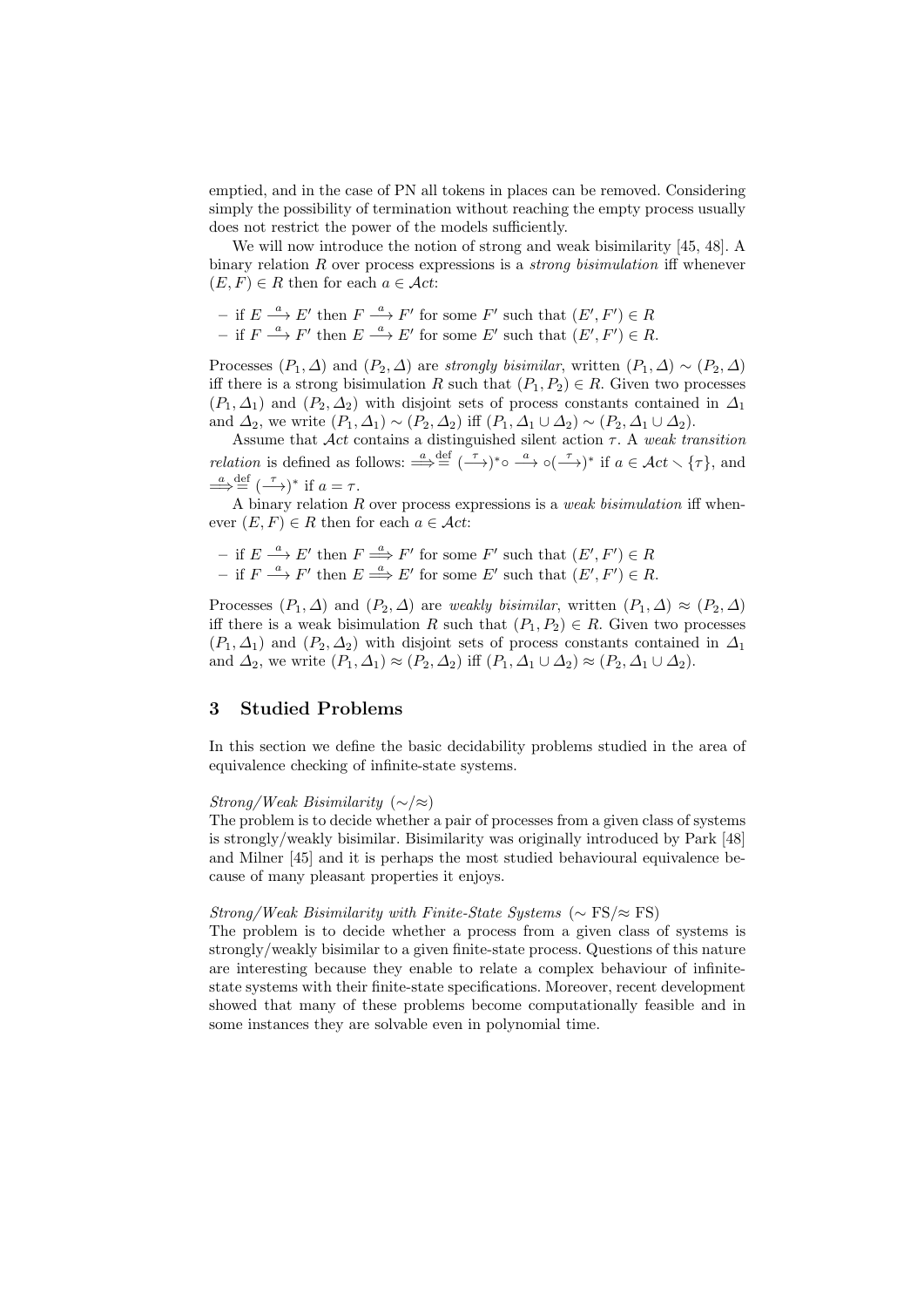emptied, and in the case of PN all tokens in places can be removed. Considering simply the possibility of termination without reaching the empty process usually does not restrict the power of the models sufficiently.

We will now introduce the notion of strong and weak bisimilarity [45, 48]. A binary relation R over process expressions is a *strong bisimulation* iff whenever  $(E, F) \in R$  then for each  $a \in \mathcal{A}ct$ :

- if  $E \stackrel{a}{\longrightarrow} E'$  then  $F \stackrel{a}{\longrightarrow} F'$  for some  $F'$  such that  $(E', F') \in R$
- if  $F \stackrel{a}{\longrightarrow} F'$  then  $E \stackrel{a}{\longrightarrow} E'$  for some  $E'$  such that  $(E', F') \in R$ .

Processes  $(P_1, \Delta)$  and  $(P_2, \Delta)$  are strongly bisimilar, written  $(P_1, \Delta) \sim (P_2, \Delta)$ iff there is a strong bisimulation R such that  $(P_1, P_2) \in R$ . Given two processes  $(P_1, \Delta_1)$  and  $(P_2, \Delta_2)$  with disjoint sets of process constants contained in  $\Delta_1$ and  $\Delta_2$ , we write  $(P_1, \Delta_1) \sim (P_2, \Delta_2)$  iff  $(P_1, \Delta_1 \cup \Delta_2) \sim (P_2, \Delta_1 \cup \Delta_2)$ .

Assume that  $\mathcal{A}ct$  contains a distinguished silent action  $\tau$ . A weak transition *relation* is defined as follows:  $\stackrel{a}{\Longrightarrow} \stackrel{\text{def}}{=} (\stackrel{\tau}{\longrightarrow})^* \circ \stackrel{a}{\longrightarrow} \circ (\stackrel{\tau}{\longrightarrow})^*$  if  $a \in \mathcal{A}ct \setminus {\tau}$ , and  $\stackrel{a}{\Longrightarrow} \stackrel{\text{def}}{=} (\stackrel{\tau}{\longrightarrow})^*$  if  $a = \tau$ .

A binary relation  $R$  over process expressions is a *weak bisimulation* iff whenever  $(E, F) \in R$  then for each  $a \in \mathcal{A}ct$ :

- if  $E \stackrel{a}{\longrightarrow} E'$  then  $F \stackrel{a}{\Longrightarrow} F'$  for some  $F'$  such that  $(E', F') \in R$
- if  $F \stackrel{a}{\longrightarrow} F'$  then  $E \stackrel{a}{\Longrightarrow} E'$  for some  $E'$  such that  $(E', F') \in R$ .

Processes  $(P_1, \Delta)$  and  $(P_2, \Delta)$  are *weakly bisimilar*, written  $(P_1, \Delta) \approx (P_2, \Delta)$ iff there is a weak bisimulation R such that  $(P_1, P_2) \in R$ . Given two processes  $(P_1, \Delta_1)$  and  $(P_2, \Delta_2)$  with disjoint sets of process constants contained in  $\Delta_1$ and  $\Delta_2$ , we write  $(P_1, \Delta_1) \approx (P_2, \Delta_2)$  iff  $(P_1, \Delta_1 \cup \Delta_2) \approx (P_2, \Delta_1 \cup \Delta_2)$ .

### 3 Studied Problems

In this section we define the basic decidability problems studied in the area of equivalence checking of infinite-state systems.

#### Strong/Weak Bisimilarity (∼/≈)

The problem is to decide whether a pair of processes from a given class of systems is strongly/weakly bisimilar. Bisimilarity was originally introduced by Park [48] and Milner [45] and it is perhaps the most studied behavioural equivalence because of many pleasant properties it enjoys.

#### $Strong/Weak Bisimilarity with Finite-State Systems (\sim FS/\approx FS)$

The problem is to decide whether a process from a given class of systems is strongly/weakly bisimilar to a given finite-state process. Questions of this nature are interesting because they enable to relate a complex behaviour of infinitestate systems with their finite-state specifications. Moreover, recent development showed that many of these problems become computationally feasible and in some instances they are solvable even in polynomial time.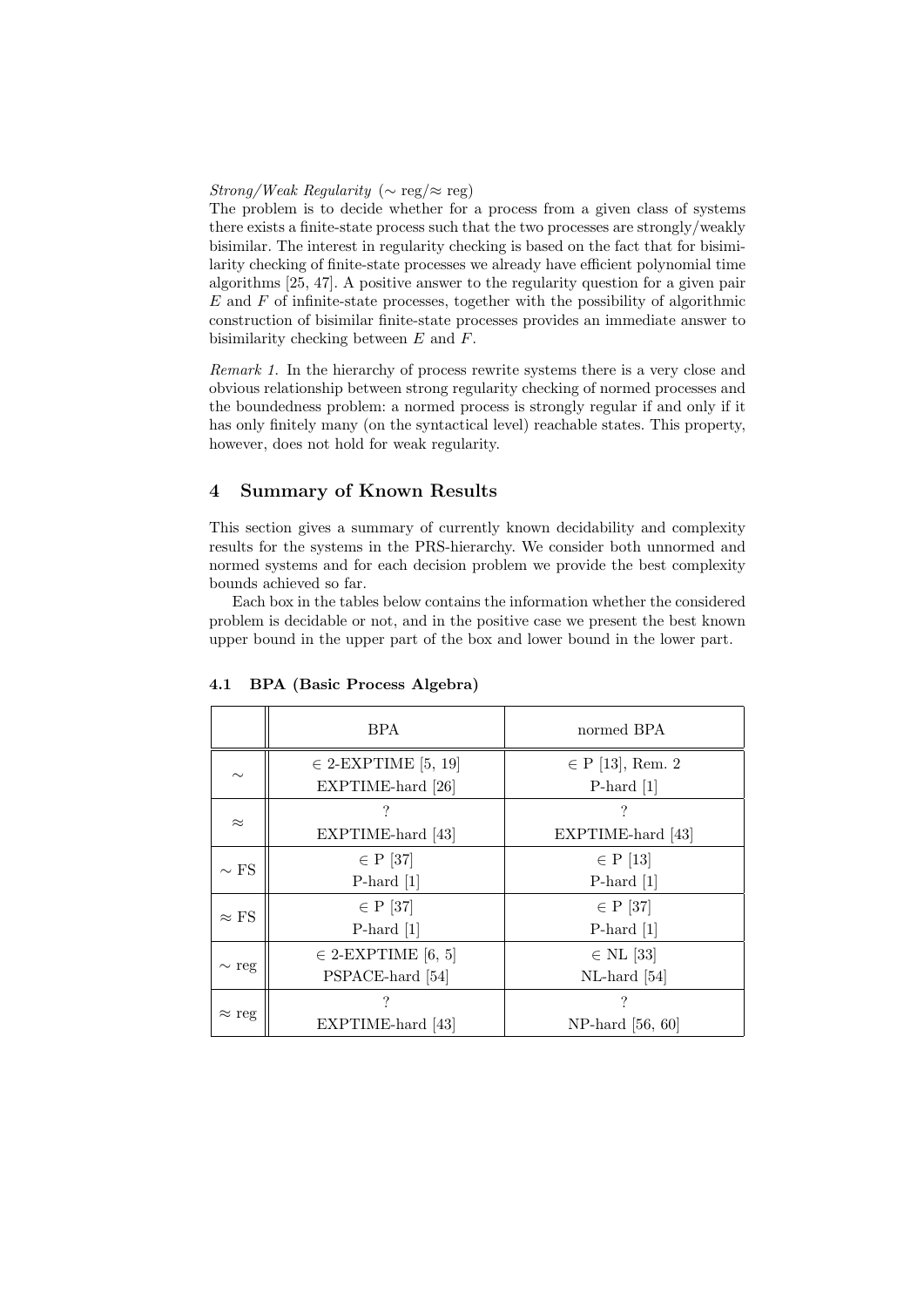#### Strong/Weak Regularity ( $\sim$  reg/ $\approx$  reg)

The problem is to decide whether for a process from a given class of systems there exists a finite-state process such that the two processes are strongly/weakly bisimilar. The interest in regularity checking is based on the fact that for bisimilarity checking of finite-state processes we already have efficient polynomial time algorithms [25, 47]. A positive answer to the regularity question for a given pair  $E$  and  $F$  of infinite-state processes, together with the possibility of algorithmic construction of bisimilar finite-state processes provides an immediate answer to bisimilarity checking between E and F.

Remark 1. In the hierarchy of process rewrite systems there is a very close and obvious relationship between strong regularity checking of normed processes and the boundedness problem: a normed process is strongly regular if and only if it has only finitely many (on the syntactical level) reachable states. This property, however, does not hold for weak regularity.

### 4 Summary of Known Results

This section gives a summary of currently known decidability and complexity results for the systems in the PRS-hierarchy. We consider both unnormed and normed systems and for each decision problem we provide the best complexity bounds achieved so far.

Each box in the tables below contains the information whether the considered problem is decidable or not, and in the positive case we present the best known upper bound in the upper part of the box and lower bound in the lower part.

|               | <b>BPA</b>              | normed BPA           |
|---------------|-------------------------|----------------------|
| $\sim$        | $\in$ 2-EXPTIME [5, 19] | $\in$ P [13], Rem. 2 |
|               | EXPTIME-hard [26]       | P-hard $[1]$         |
| $\approx$     |                         | ?                    |
|               | EXPTIME-hard [43]       | EXPTIME-hard [43]    |
| $\sim$ FS     | $\in$ P [37]            | $\in$ P [13]         |
|               | P-hard $[1]$            | P-hard $[1]$         |
|               | $\in$ P [37]            | $\in$ P [37]         |
| $\approx$ FS  | $P$ -hard [1]           | P-hard $[1]$         |
| $\sim$ reg    | $\in$ 2-EXPTIME [6, 5]  | $\in$ NL [33]        |
|               | PSPACE-hard [54]        | $NL$ -hard [54]      |
| $\approx$ reg |                         |                      |
|               | EXPTIME-hard [43]       | NP-hard $[56, 60]$   |

#### 4.1 BPA (Basic Process Algebra)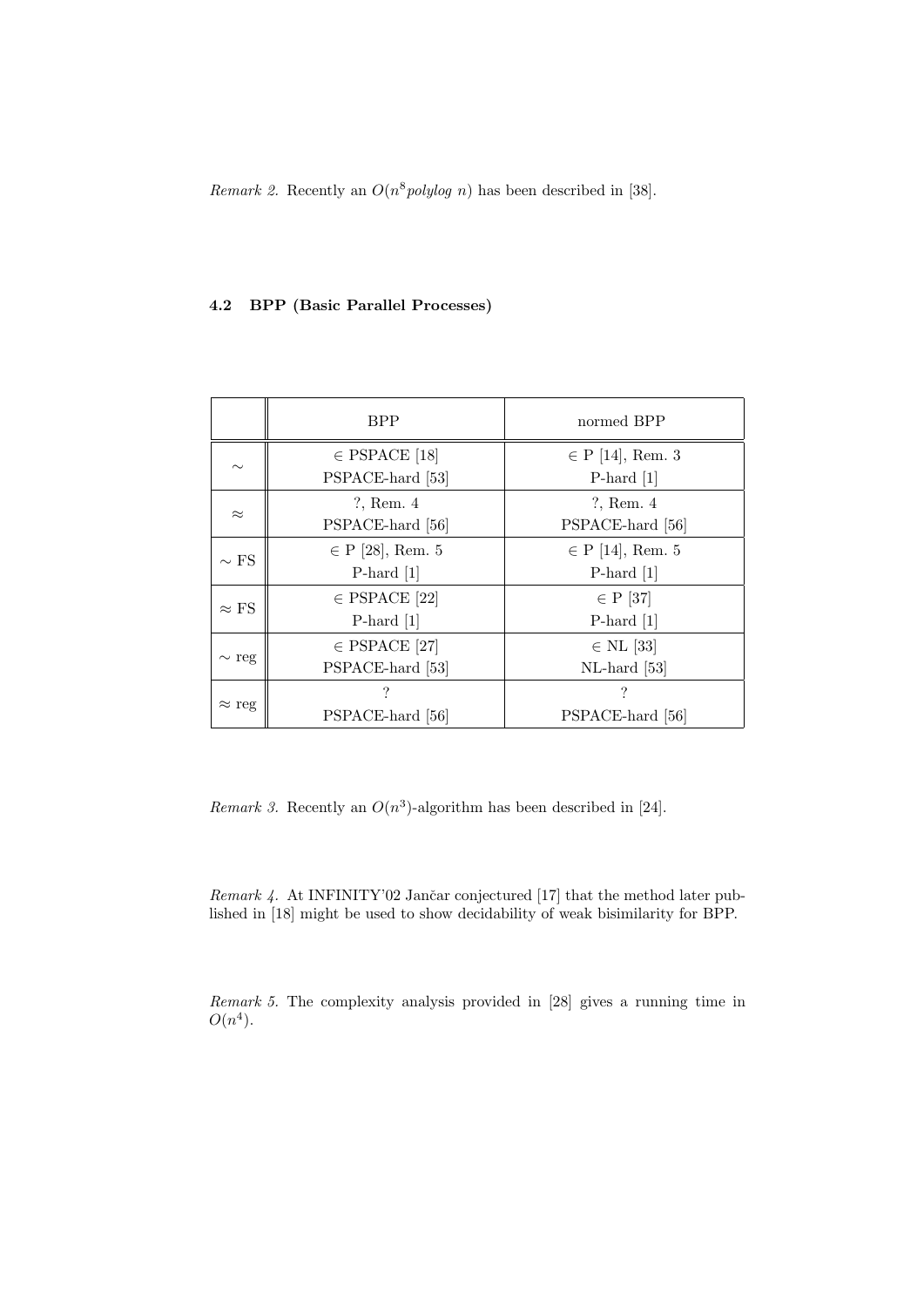Remark 2. Recently an  $O(n^8 \text{polylog } n)$  has been described in [38].

## 4.2 BPP (Basic Parallel Processes)

|               | <b>BPP</b>           | normed BPP           |
|---------------|----------------------|----------------------|
| $\sim$        | $\in$ PSPACE [18]    | $\in$ P [14], Rem. 3 |
|               | PSPACE-hard [53]     | P-hard $[1]$         |
| $\approx$     | $?$ , Rem. $4$       | $?$ , Rem. $4$       |
|               | PSPACE-hard [56]     | PSPACE-hard [56]     |
| $\sim$ FS     | $\in$ P [28], Rem. 5 | $\in$ P [14], Rem. 5 |
|               | P-hard $[1]$         | P-hard $[1]$         |
|               | $\in$ PSPACE [22]    | $\in$ P [37]         |
| $\approx$ FS  | P-hard $[1]$         | P-hard $[1]$         |
| $\sim$ reg    | $\in$ PSPACE [27]    | $\in$ NL [33]        |
|               | PSPACE-hard [53]     | $NL$ -hard [53]      |
| $\approx$ reg | ?                    | ?                    |
|               | PSPACE-hard [56]     | PSPACE-hard [56]     |

Remark 3. Recently an  $O(n^3)$ -algorithm has been described in [24].

Remark  $4$ . At INFINITY'02 Jančar conjectured [17] that the method later published in [18] might be used to show decidability of weak bisimilarity for BPP.

Remark 5. The complexity analysis provided in [28] gives a running time in  $O(n^4)$ .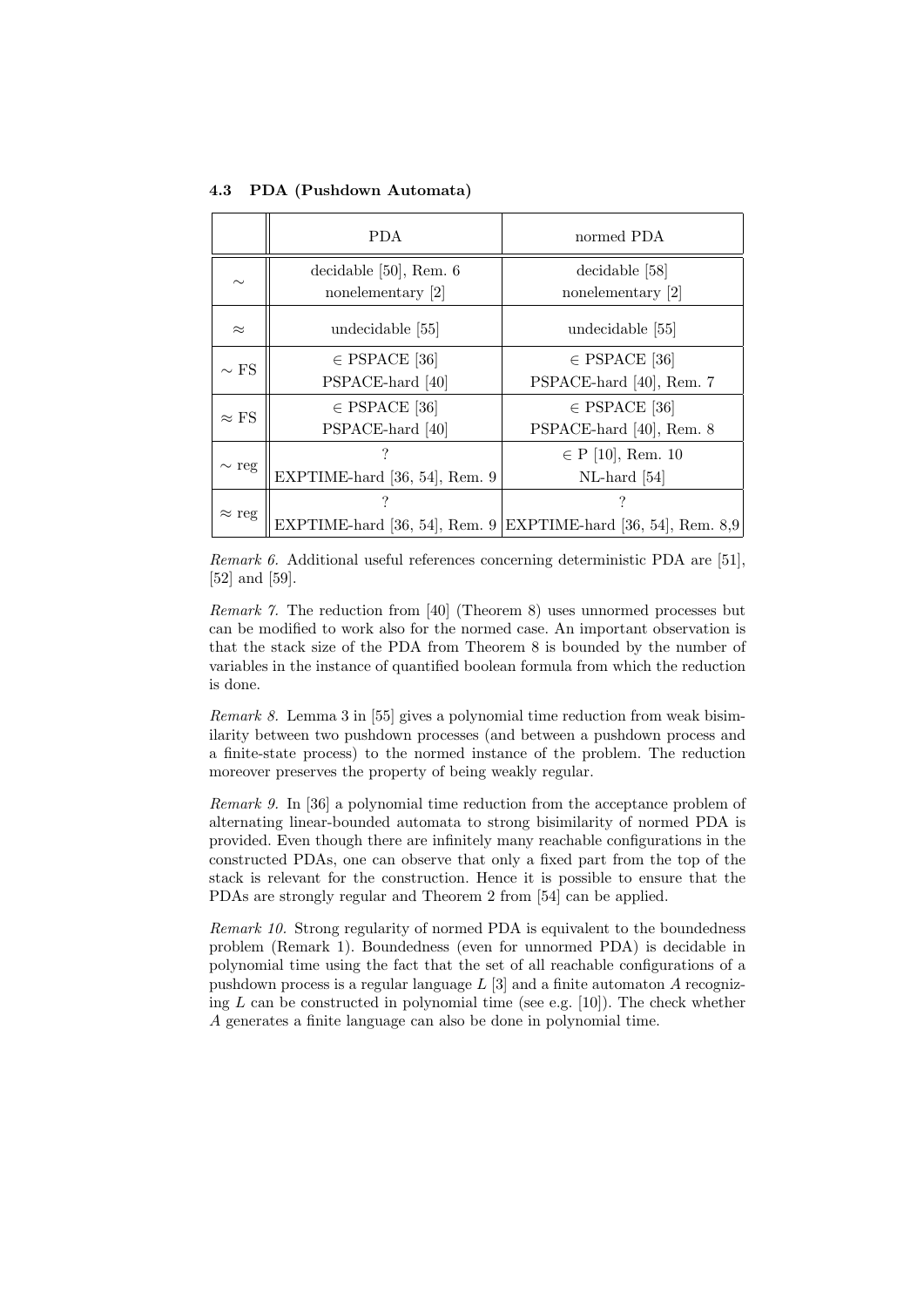4.3 PDA (Pushdown Automata)

|               | PDA.                          | normed PDA                                                    |
|---------------|-------------------------------|---------------------------------------------------------------|
| $\sim\,$      | decidable $[50]$ , Rem. $6$   | decidable [58]                                                |
|               | nonelementary [2]             | nonelementary [2]                                             |
| $\approx$     | undecidable [55]              | undecidable [55]                                              |
| $\sim$ FS     | $\in$ PSPACE [36]             | $\in$ PSPACE [36]                                             |
|               | PSPACE-hard [40]              | PSPACE-hard [40], Rem. 7                                      |
| $\approx$ FS  | $\in$ PSPACE [36]             | $\in$ PSPACE [36]                                             |
|               | PSPACE-hard [40]              | PSPACE-hard [40], Rem. 8                                      |
| $\sim$ reg    | ?                             | $\in$ P [10], Rem. 10                                         |
|               | EXPTIME-hard [36, 54], Rem. 9 | $NL$ -hard [54]                                               |
| $\approx$ reg |                               | ?                                                             |
|               |                               | EXPTIME-hard [36, 54], Rem. 9 EXPTIME-hard [36, 54], Rem. 8,9 |

Remark 6. Additional useful references concerning deterministic PDA are [51], [52] and [59].

Remark 7. The reduction from [40] (Theorem 8) uses unnormed processes but can be modified to work also for the normed case. An important observation is that the stack size of the PDA from Theorem 8 is bounded by the number of variables in the instance of quantified boolean formula from which the reduction is done.

Remark 8. Lemma 3 in [55] gives a polynomial time reduction from weak bisimilarity between two pushdown processes (and between a pushdown process and a finite-state process) to the normed instance of the problem. The reduction moreover preserves the property of being weakly regular.

Remark 9. In [36] a polynomial time reduction from the acceptance problem of alternating linear-bounded automata to strong bisimilarity of normed PDA is provided. Even though there are infinitely many reachable configurations in the constructed PDAs, one can observe that only a fixed part from the top of the stack is relevant for the construction. Hence it is possible to ensure that the PDAs are strongly regular and Theorem 2 from [54] can be applied.

Remark 10. Strong regularity of normed PDA is equivalent to the boundedness problem (Remark 1). Boundedness (even for unnormed PDA) is decidable in polynomial time using the fact that the set of all reachable configurations of a pushdown process is a regular language  $L[3]$  and a finite automaton A recognizing L can be constructed in polynomial time (see e.g. [10]). The check whether A generates a finite language can also be done in polynomial time.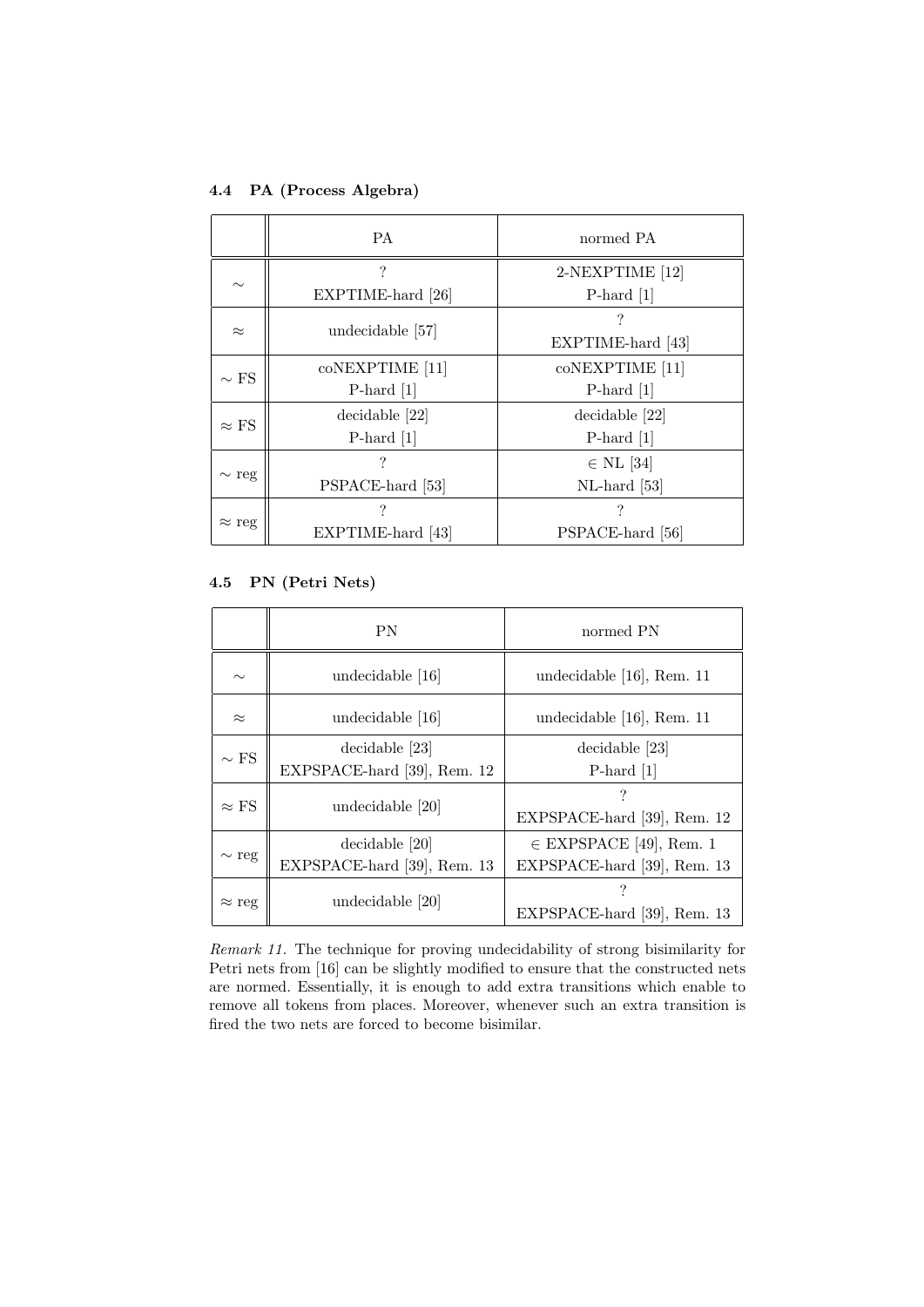### 4.4 PA (Process Algebra)

|               | PA.               | normed PA         |
|---------------|-------------------|-------------------|
| $\sim$        | ?                 | 2-NEXPTIME [12]   |
|               | EXPTIME-hard [26] | P-hard $[1]$      |
| $\approx$     | undecidable [57]  |                   |
|               |                   | EXPTIME-hard [43] |
| $\sim$ FS     | coNEXPTIME [11]   | coNEXPTIME [11]   |
|               | P-hard $[1]$      | P-hard $[1]$      |
| $\approx$ FS  | decidable [22]    | decidable [22]    |
|               | P-hard $[1]$      | P-hard $[1]$      |
| $\sim$ reg    |                   | $\in$ NL [34]     |
|               | PSPACE-hard [53]  | $NL$ -hard [53]   |
| $\approx$ reg |                   |                   |
|               | EXPTIME-hard [43] | PSPACE-hard [56]  |

## 4.5 PN (Petri Nets)

|               | <b>PN</b>                                     | normed PN                                                  |
|---------------|-----------------------------------------------|------------------------------------------------------------|
| $\sim$        | undecidable [16]                              | undecidable [16], Rem. 11                                  |
| $\approx$     | undecidable [16]                              | undecidable [16], Rem. 11                                  |
| $\sim$ FS     | decidable [23]<br>EXPSPACE-hard [39], Rem. 12 | decidable [23]<br>P-hard $[1]$                             |
| $\approx$ FS  | undecidable [20]                              | EXPSPACE-hard [39], Rem. 12                                |
| $\sim$ reg    | decidable [20]<br>EXPSPACE-hard [39], Rem. 13 | $\in$ EXPSPACE [49], Rem. 1<br>EXPSPACE-hard [39], Rem. 13 |
| $\approx$ reg | undecidable [20]                              | EXPSPACE-hard [39], Rem. 13                                |

Remark 11. The technique for proving undecidability of strong bisimilarity for Petri nets from [16] can be slightly modified to ensure that the constructed nets are normed. Essentially, it is enough to add extra transitions which enable to remove all tokens from places. Moreover, whenever such an extra transition is fired the two nets are forced to become bisimilar.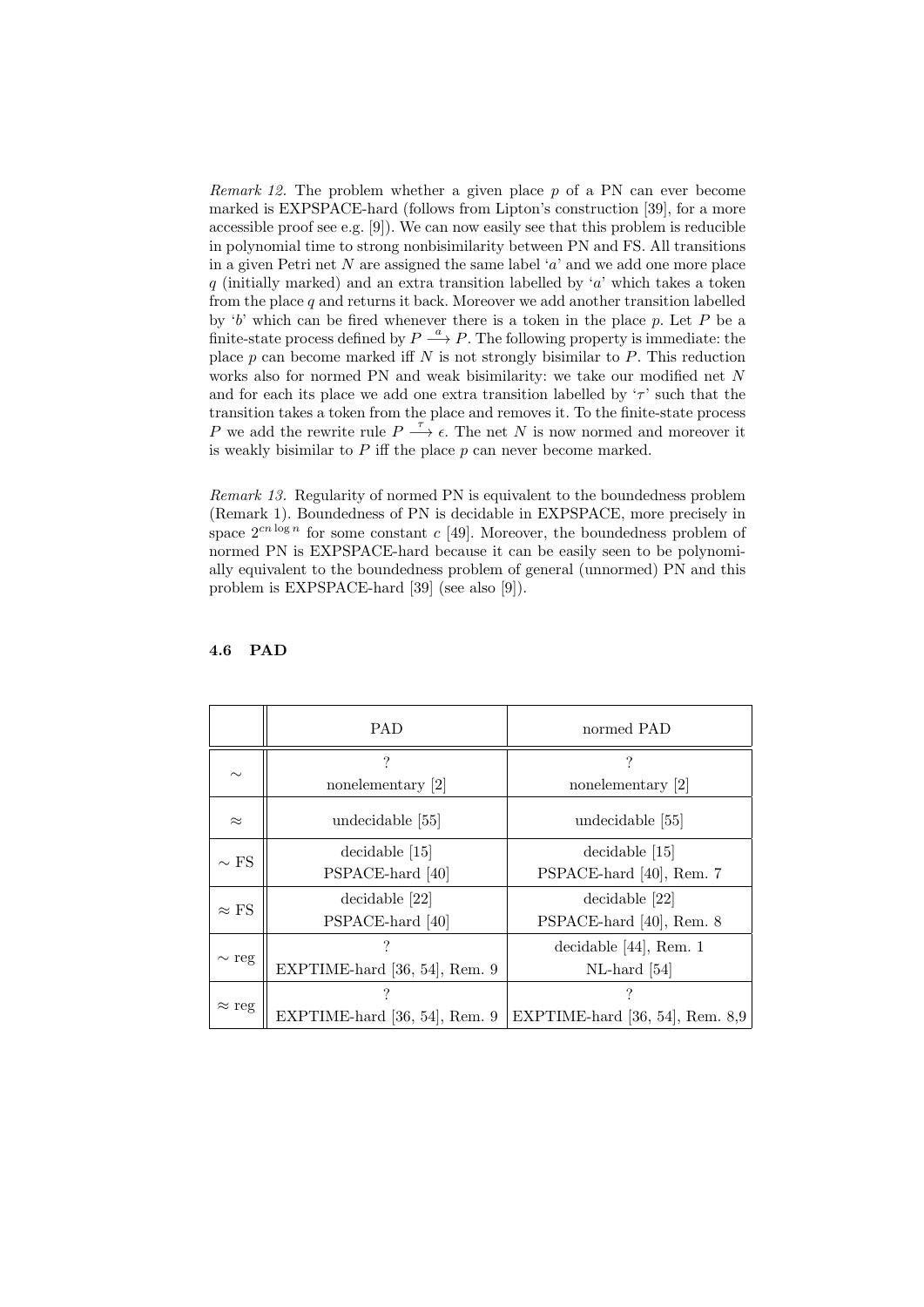*Remark 12.* The problem whether a given place  $p$  of a PN can ever become marked is EXPSPACE-hard (follows from Lipton's construction [39], for a more accessible proof see e.g. [9]). We can now easily see that this problem is reducible in polynomial time to strong nonbisimilarity between PN and FS. All transitions in a given Petri net N are assigned the same label  $a'$  and we add one more place q (initially marked) and an extra transition labelled by 'a' which takes a token from the place  $q$  and returns it back. Moreover we add another transition labelled by 'b' which can be fired whenever there is a token in the place  $p$ . Let  $P$  be a finite-state process defined by  $P \stackrel{a}{\longrightarrow} P$ . The following property is immediate: the place  $p$  can become marked iff  $N$  is not strongly bisimilar to  $P$ . This reduction works also for normed PN and weak bisimilarity: we take our modified net N and for each its place we add one extra transition labelled by  $\tau$  such that the transition takes a token from the place and removes it. To the finite-state process P we add the rewrite rule  $P \stackrel{\tau}{\longrightarrow} \epsilon$ . The net N is now normed and moreover it is weakly bisimilar to  $P$  iff the place  $p$  can never become marked.

Remark 13. Regularity of normed PN is equivalent to the boundedness problem (Remark 1). Boundedness of PN is decidable in EXPSPACE, more precisely in space  $2^{cn \log n}$  for some constant c [49]. Moreover, the boundedness problem of normed PN is EXPSPACE-hard because it can be easily seen to be polynomially equivalent to the boundedness problem of general (unnormed) PN and this problem is EXPSPACE-hard [39] (see also [9]).

|               | <b>PAD</b>                    | normed PAD                        |
|---------------|-------------------------------|-----------------------------------|
| $\sim$        | ?                             | ?                                 |
|               | nonelementary [2]             | nonelementary [2]                 |
| $\approx$     | undecidable [55]              | undecidable [55]                  |
| $\sim$ FS     | decidable [15]                | $decidable$ [15]                  |
|               | PSPACE-hard [40]              | PSPACE-hard [40], Rem. 7          |
| $\approx$ FS  | decidable [22]                | decidable [22]                    |
|               | PSPACE-hard [40]              | PSPACE-hard [40], Rem. 8          |
| $\sim$ reg    |                               | decidable $[44]$ , Rem. 1         |
|               | EXPTIME-hard [36, 54], Rem. 9 | $NL$ -hard [54]                   |
| $\approx$ reg | ?                             | ?                                 |
|               | EXPTIME-hard [36, 54], Rem. 9 | EXPTIME-hard [36, 54], Rem. $8.9$ |

#### 4.6 PAD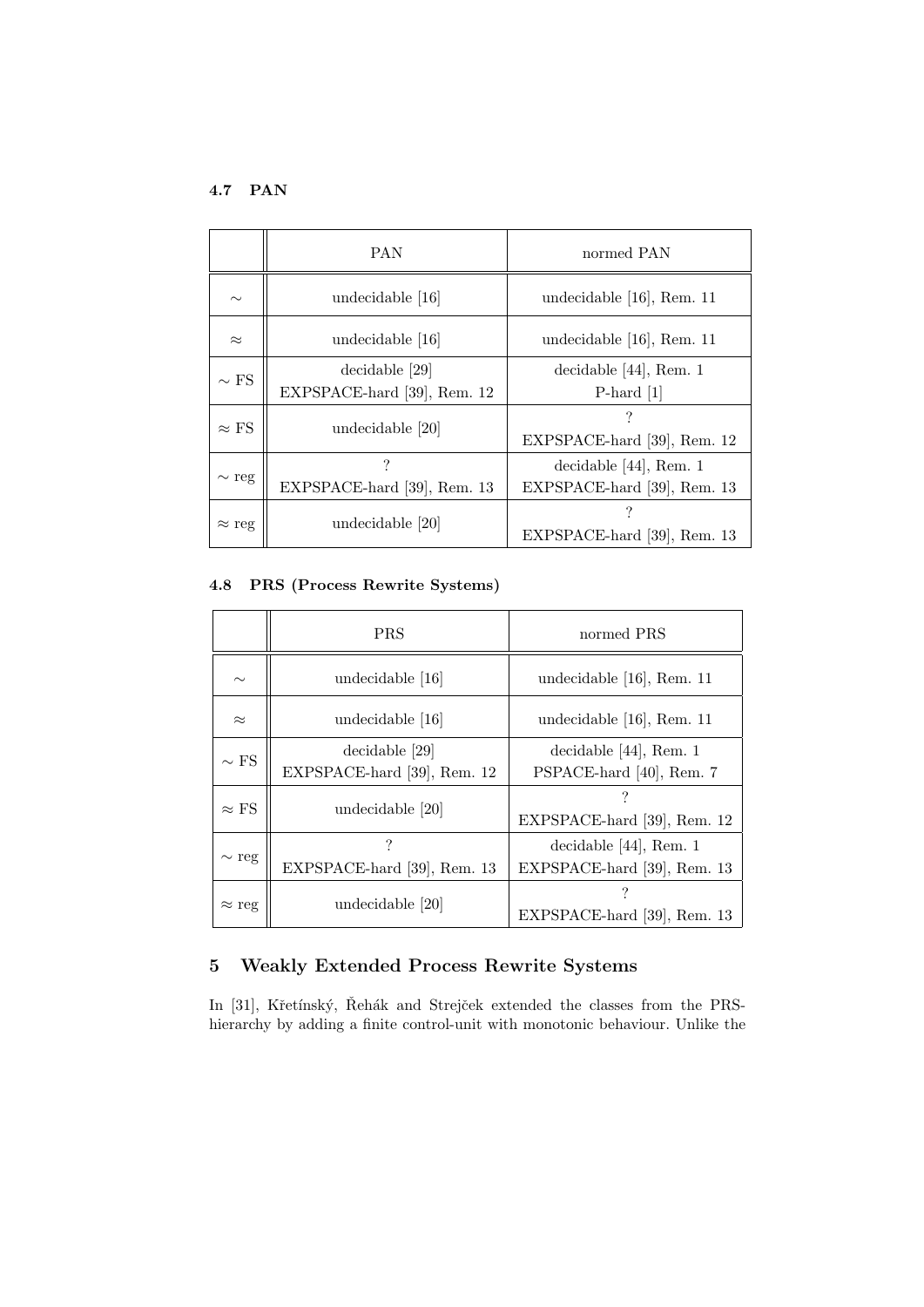# 4.7 PAN

|               | <b>PAN</b>                                    | normed PAN                                               |
|---------------|-----------------------------------------------|----------------------------------------------------------|
| $\sim$        | undecidable [16]                              | undecidable [16], Rem. 11                                |
| $\approx$     | undecidable [16]                              | undecidable $[16]$ , Rem. 11                             |
| $\sim$ FS     | decidable [29]<br>EXPSPACE-hard [39], Rem. 12 | decidable $[44]$ , Rem. 1<br>P-hard $[1]$                |
| $\approx$ FS  | undecidable [20]                              | EXPSPACE-hard [39], Rem. 12                              |
| $\sim$ reg    | ?<br>EXPSPACE-hard [39], Rem. 13              | decidable $[44]$ , Rem. 1<br>EXPSPACE-hard [39], Rem. 13 |
| $\approx$ reg | undecidable [20]                              | EXPSPACE-hard [39], Rem. 13                              |

# 4.8 PRS (Process Rewrite Systems)

|               | <b>PRS</b>                                    | normed PRS                                               |
|---------------|-----------------------------------------------|----------------------------------------------------------|
| $\sim$        | undecidable [16]                              | undecidable $[16]$ , Rem. 11                             |
| $\approx$     | undecidable [16]                              | undecidable $[16]$ , Rem. 11                             |
| $\sim$ FS     | decidable [29]<br>EXPSPACE-hard [39], Rem. 12 | decidable $[44]$ , Rem. 1<br>PSPACE-hard [40], Rem. 7    |
| $\approx$ FS  | undecidable [20]                              | EXPSPACE-hard [39], Rem. 12                              |
| $\sim$ reg    | EXPSPACE-hard [39], Rem. 13                   | decidable $[44]$ , Rem. 1<br>EXPSPACE-hard [39], Rem. 13 |
| $\approx$ reg | undecidable [20]                              | EXPSPACE-hard [39], Rem. 13                              |

# 5 Weakly Extended Process Rewrite Systems

In [31], Křetínský, Řehák and Strejček extended the classes from the PRShierarchy by adding a finite control-unit with monotonic behaviour. Unlike the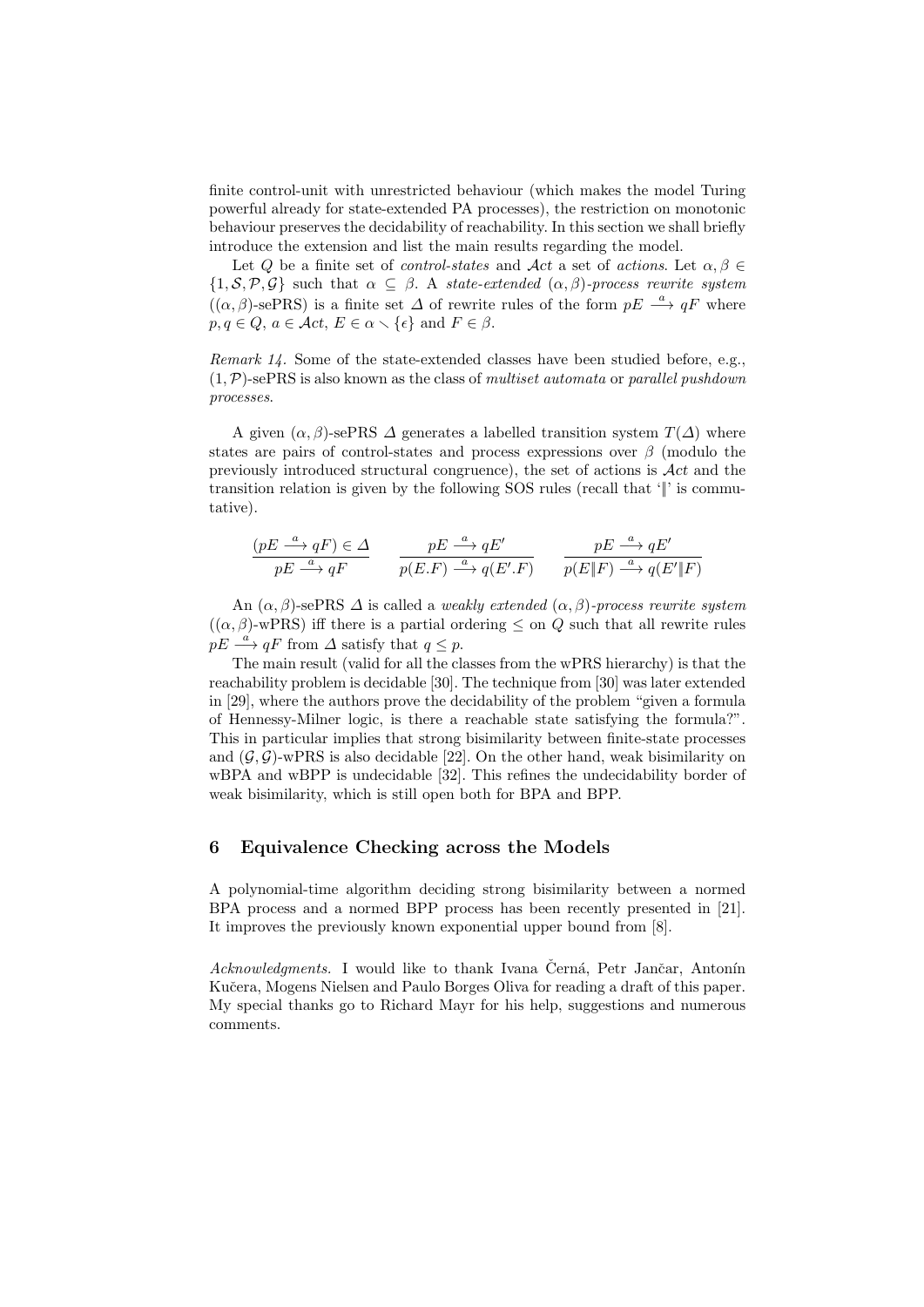finite control-unit with unrestricted behaviour (which makes the model Turing powerful already for state-extended PA processes), the restriction on monotonic behaviour preserves the decidability of reachability. In this section we shall briefly introduce the extension and list the main results regarding the model.

Let Q be a finite set of *control-states* and Act a set of *actions*. Let  $\alpha, \beta \in$  ${1, \mathcal{S}, \mathcal{P}, \mathcal{G}}$  such that  $\alpha \subseteq \beta$ . A state-extended  $(\alpha, \beta)$ -process rewrite system  $((\alpha, \beta)$ -sePRS) is a finite set  $\Delta$  of rewrite rules of the form  $pE \stackrel{a}{\longrightarrow} qF$  where  $p, q \in Q, a \in \mathcal{A}ct, E \in \alpha \setminus \{\epsilon\} \text{ and } F \in \beta.$ 

Remark 14. Some of the state-extended classes have been studied before, e.g.,  $(1, \mathcal{P})$ -sePRS is also known as the class of *multiset automata* or *parallel pushdown* processes.

A given  $(\alpha, \beta)$ -sePRS  $\Delta$  generates a labelled transition system  $T(\Delta)$  where states are pairs of control-states and process expressions over  $\beta$  (modulo the previously introduced structural congruence), the set of actions is  $\mathcal{A}ct$  and the transition relation is given by the following SOS rules (recall that '||' is commutative).

$$
\frac{(pE \xrightarrow{a} qF) \in \Delta}{pE \xrightarrow{a} qF} \qquad \frac{pE \xrightarrow{a} qE'}{p(E.F) \xrightarrow{a} q(E'.F)} \qquad \frac{pE \xrightarrow{a} qE'}{p(E\|F) \xrightarrow{a} q(E'\|F)}
$$

An  $(\alpha, \beta)$ -sePRS  $\Delta$  is called a *weakly extended*  $(\alpha, \beta)$ -process rewrite system  $((\alpha, \beta)$ -wPRS) iff there is a partial ordering  $\leq$  on Q such that all rewrite rules  $pE \stackrel{a}{\longrightarrow} qF$  from  $\Delta$  satisfy that  $q \leq p$ .

The main result (valid for all the classes from the wPRS hierarchy) is that the reachability problem is decidable [30]. The technique from [30] was later extended in [29], where the authors prove the decidability of the problem "given a formula of Hennessy-Milner logic, is there a reachable state satisfying the formula?". This in particular implies that strong bisimilarity between finite-state processes and  $(\mathcal{G}, \mathcal{G})$ -wPRS is also decidable [22]. On the other hand, weak bisimilarity on wBPA and wBPP is undecidable [32]. This refines the undecidability border of weak bisimilarity, which is still open both for BPA and BPP.

### 6 Equivalence Checking across the Models

A polynomial-time algorithm deciding strong bisimilarity between a normed BPA process and a normed BPP process has been recently presented in [21]. It improves the previously known exponential upper bound from [8].

Acknowledgments. I would like to thank Ivana Černá, Petr Jančar, Antonín Kučera, Mogens Nielsen and Paulo Borges Oliva for reading a draft of this paper. My special thanks go to Richard Mayr for his help, suggestions and numerous comments.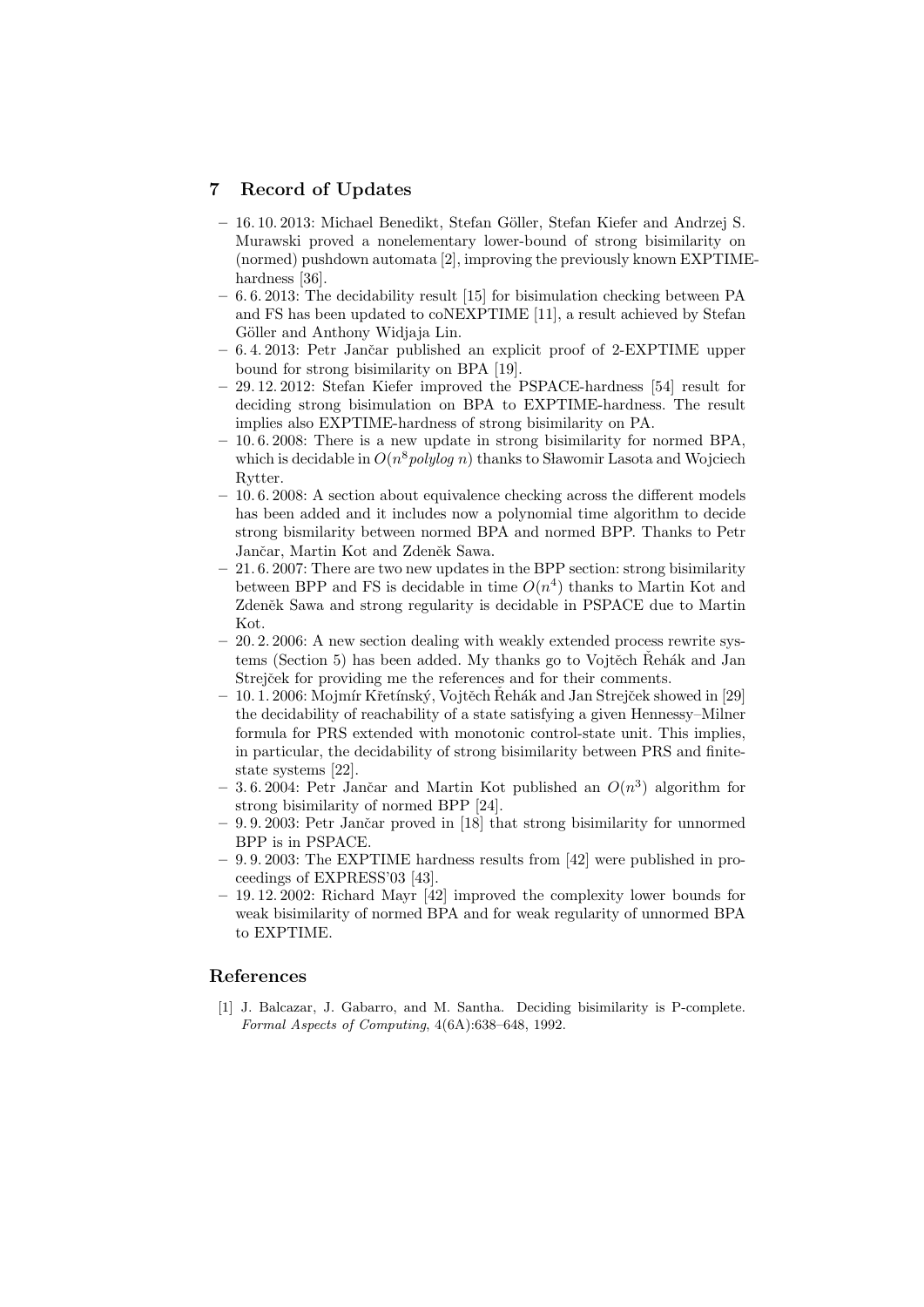## 7 Record of Updates

- 16. 10. 2013: Michael Benedikt, Stefan G¨oller, Stefan Kiefer and Andrzej S. Murawski proved a nonelementary lower-bound of strong bisimilarity on (normed) pushdown automata [2], improving the previously known EXPTIMEhardness [36].
- 6. 6. 2013: The decidability result [15] for bisimulation checking between PA and FS has been updated to coNEXPTIME [11], a result achieved by Stefan Göller and Anthony Widiaja Lin.
- 6. 4. 2013: Petr Janˇcar published an explicit proof of 2-EXPTIME upper bound for strong bisimilarity on BPA [19].
- 29. 12. 2012: Stefan Kiefer improved the PSPACE-hardness [54] result for deciding strong bisimulation on BPA to EXPTIME-hardness. The result implies also EXPTIME-hardness of strong bisimilarity on PA.
- 10. 6. 2008: There is a new update in strong bisimilarity for normed BPA, which is decidable in  $O(n^8 polylog n)$  thanks to Sławomir Lasota and Wojciech Rytter.
- 10. 6. 2008: A section about equivalence checking across the different models has been added and it includes now a polynomial time algorithm to decide strong bismilarity between normed BPA and normed BPP. Thanks to Petr Jančar, Martin Kot and Zdeněk Sawa.
- 21. 6. 2007: There are two new updates in the BPP section: strong bisimilarity between BPP and FS is decidable in time  $O(n^4)$  thanks to Martin Kot and Zdeněk Sawa and strong regularity is decidable in PSPACE due to Martin Kot.
- $-20.2.2006$ : A new section dealing with weakly extended process rewrite systems (Section 5) has been added. My thanks go to Vojtěch Řehák and Jan Strejček for providing me the references and for their comments.
- 10. 1. 2006: Mojmír Křetínský, Vojtěch Rehák and Jan Strejček showed in [29] the decidability of reachability of a state satisfying a given Hennessy–Milner formula for PRS extended with monotonic control-state unit. This implies, in particular, the decidability of strong bisimilarity between PRS and finitestate systems [22].
- $-3.6.2004$ : Petr Jančar and Martin Kot published an  $O(n^3)$  algorithm for strong bisimilarity of normed BPP [24].
- $-9.9.2003$ : Petr Jančar proved in [18] that strong bisimilarity for unnormed BPP is in PSPACE.
- 9. 9. 2003: The EXPTIME hardness results from [42] were published in proceedings of EXPRESS'03 [43].
- $-19.12.2002$ : Richard Mayr [42] improved the complexity lower bounds for weak bisimilarity of normed BPA and for weak regularity of unnormed BPA to EXPTIME.

## References

[1] J. Balcazar, J. Gabarro, and M. Santha. Deciding bisimilarity is P-complete. Formal Aspects of Computing, 4(6A):638–648, 1992.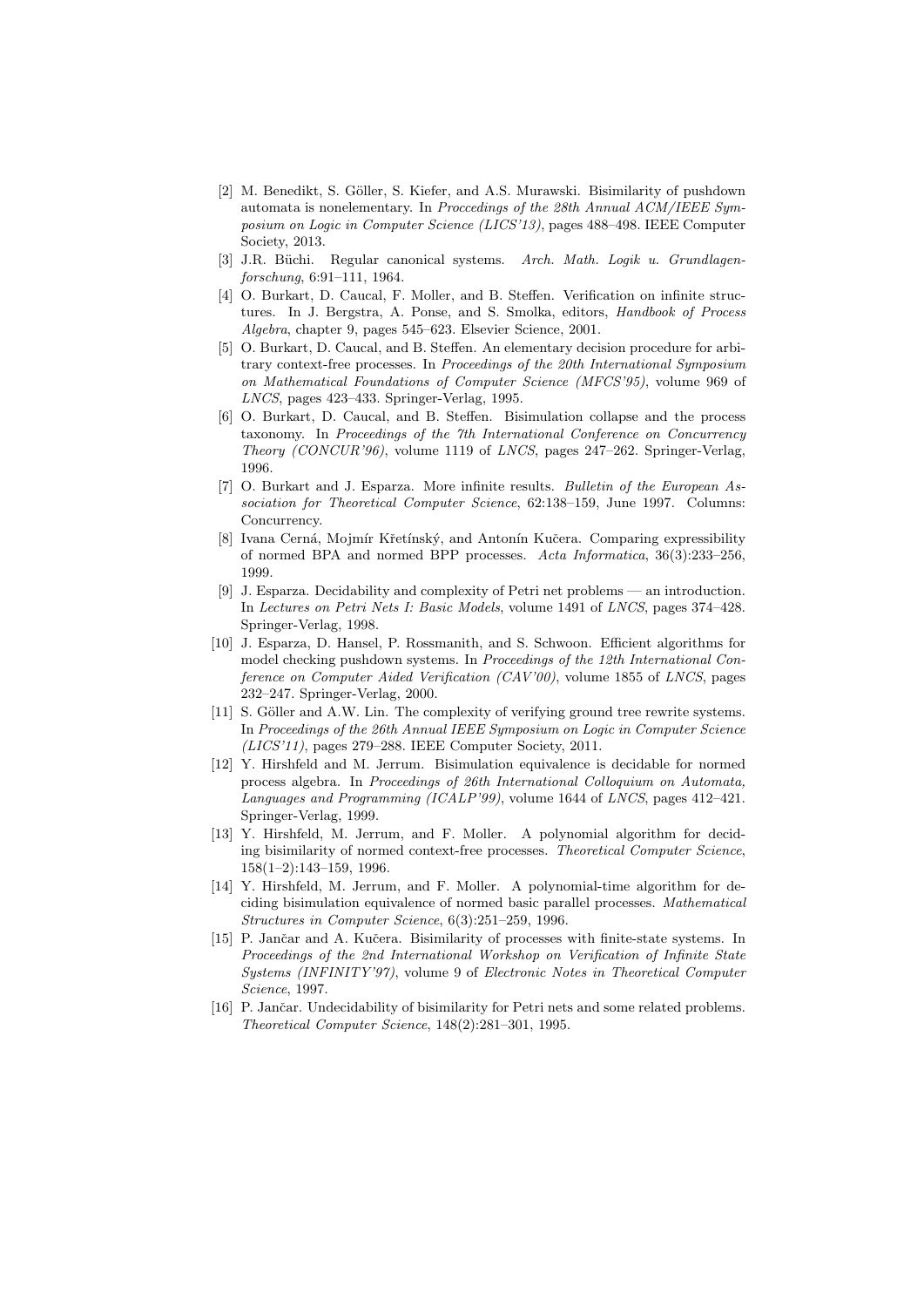- [2] M. Benedikt, S. Göller, S. Kiefer, and A.S. Murawski. Bisimilarity of pushdown automata is nonelementary. In Proccedings of the 28th Annual ACM/IEEE Symposium on Logic in Computer Science (LICS'13), pages 488–498. IEEE Computer Society, 2013.
- [3] J.R. Büchi. Regular canonical systems. Arch. Math. Logik u. Grundlagenforschung, 6:91–111, 1964.
- [4] O. Burkart, D. Caucal, F. Moller, and B. Steffen. Verification on infinite structures. In J. Bergstra, A. Ponse, and S. Smolka, editors, Handbook of Process Algebra, chapter 9, pages 545–623. Elsevier Science, 2001.
- [5] O. Burkart, D. Caucal, and B. Steffen. An elementary decision procedure for arbitrary context-free processes. In Proceedings of the 20th International Symposium on Mathematical Foundations of Computer Science (MFCS'95), volume 969 of LNCS, pages 423–433. Springer-Verlag, 1995.
- [6] O. Burkart, D. Caucal, and B. Steffen. Bisimulation collapse and the process taxonomy. In Proceedings of the 7th International Conference on Concurrency Theory (CONCUR'96), volume 1119 of LNCS, pages 247–262. Springer-Verlag, 1996.
- [7] O. Burkart and J. Esparza. More infinite results. Bulletin of the European Association for Theoretical Computer Science, 62:138–159, June 1997. Columns: Concurrency.
- [8] Ivana Cerná, Mojmír Křetínský, and Antonín Kučera. Comparing expressibility of normed BPA and normed BPP processes. Acta Informatica, 36(3):233–256, 1999.
- [9] J. Esparza. Decidability and complexity of Petri net problems an introduction. In Lectures on Petri Nets I: Basic Models, volume 1491 of LNCS, pages 374–428. Springer-Verlag, 1998.
- [10] J. Esparza, D. Hansel, P. Rossmanith, and S. Schwoon. Efficient algorithms for model checking pushdown systems. In Proceedings of the 12th International Conference on Computer Aided Verification (CAV'00), volume 1855 of LNCS, pages 232–247. Springer-Verlag, 2000.
- [11] S. Göller and A.W. Lin. The complexity of verifying ground tree rewrite systems. In Proceedings of the 26th Annual IEEE Symposium on Logic in Computer Science (LICS'11), pages 279–288. IEEE Computer Society, 2011.
- [12] Y. Hirshfeld and M. Jerrum. Bisimulation equivalence is decidable for normed process algebra. In Proceedings of 26th International Colloquium on Automata, Languages and Programming (ICALP'99), volume 1644 of LNCS, pages 412–421. Springer-Verlag, 1999.
- [13] Y. Hirshfeld, M. Jerrum, and F. Moller. A polynomial algorithm for deciding bisimilarity of normed context-free processes. Theoretical Computer Science, 158(1–2):143–159, 1996.
- [14] Y. Hirshfeld, M. Jerrum, and F. Moller. A polynomial-time algorithm for deciding bisimulation equivalence of normed basic parallel processes. Mathematical Structures in Computer Science, 6(3):251–259, 1996.
- [15] P. Jančar and A. Kučera. Bisimilarity of processes with finite-state systems. In Proceedings of the 2nd International Workshop on Verification of Infinite State Systems (INFINITY'97), volume 9 of Electronic Notes in Theoretical Computer Science, 1997.
- [16] P. Jančar. Undecidability of bisimilarity for Petri nets and some related problems. Theoretical Computer Science, 148(2):281–301, 1995.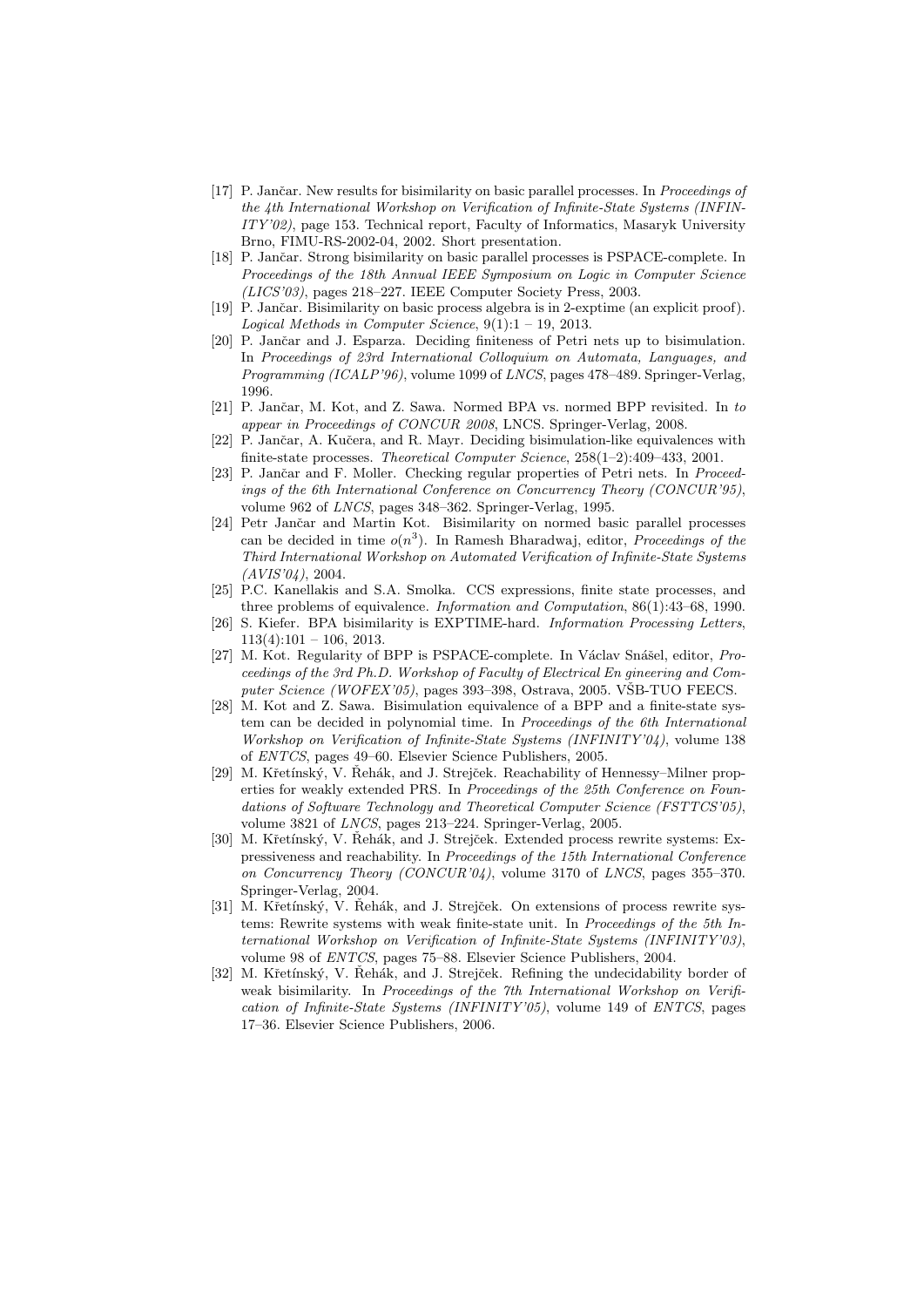- [17] P. Jančar. New results for bisimilarity on basic parallel processes. In Proceedings of the 4th International Workshop on Verification of Infinite-State Systems (INFIN-ITY'02), page 153. Technical report, Faculty of Informatics, Masaryk University Brno, FIMU-RS-2002-04, 2002. Short presentation.
- [18] P. Jančar. Strong bisimilarity on basic parallel processes is PSPACE-complete. In Proceedings of the 18th Annual IEEE Symposium on Logic in Computer Science (LICS'03), pages 218–227. IEEE Computer Society Press, 2003.
- [19] P. Jančar. Bisimilarity on basic process algebra is in 2-exptime (an explicit proof). Logical Methods in Computer Science,  $9(1):1 - 19$ , 2013.
- [20] P. Jančar and J. Esparza. Deciding finiteness of Petri nets up to bisimulation. In Proceedings of 23rd International Colloquium on Automata, Languages, and Programming (ICALP'96), volume 1099 of LNCS, pages 478–489. Springer-Verlag, 1996.
- [21] P. Jančar, M. Kot, and Z. Sawa. Normed BPA vs. normed BPP revisited. In to appear in Proceedings of CONCUR 2008, LNCS. Springer-Verlag, 2008.
- [22] P. Jančar, A. Kučera, and R. Mayr. Deciding bisimulation-like equivalences with finite-state processes. Theoretical Computer Science, 258(1–2):409–433, 2001.
- [23] P. Jančar and F. Moller. Checking regular properties of Petri nets. In Proceedings of the 6th International Conference on Concurrency Theory (CONCUR'95), volume 962 of LNCS, pages 348–362. Springer-Verlag, 1995.
- [24] Petr Jančar and Martin Kot. Bisimilarity on normed basic parallel processes can be decided in time  $o(n^3)$ . In Ramesh Bharadwaj, editor, *Proceedings of the* Third International Workshop on Automated Verification of Infinite-State Systems (AVIS'04), 2004.
- [25] P.C. Kanellakis and S.A. Smolka. CCS expressions, finite state processes, and three problems of equivalence. Information and Computation, 86(1):43–68, 1990.
- [26] S. Kiefer. BPA bisimilarity is EXPTIME-hard. Information Processing Letters,  $113(4):101 - 106, 2013.$
- [27] M. Kot. Regularity of BPP is PSPACE-complete. In Václav Snášel, editor, Proceedings of the 3rd Ph.D. Workshop of Faculty of Electrical En gineering and Computer Science (WOFEX'05), pages 393-398, Ostrava, 2005. VŠB-TUO FEECS.
- [28] M. Kot and Z. Sawa. Bisimulation equivalence of a BPP and a finite-state system can be decided in polynomial time. In Proceedings of the 6th International Workshop on Verification of Infinite-State Systems (INFINITY'04), volume 138 of ENTCS, pages 49–60. Elsevier Science Publishers, 2005.
- [29] M. Křetínský, V. Řehák, and J. Strejček. Reachability of Hennessy–Milner properties for weakly extended PRS. In Proceedings of the 25th Conference on Foundations of Software Technology and Theoretical Computer Science (FSTTCS'05), volume 3821 of LNCS, pages 213–224. Springer-Verlag, 2005.
- [30] M. Křetínský, V. Řehák, and J. Strejček. Extended process rewrite systems: Expressiveness and reachability. In Proceedings of the 15th International Conference on Concurrency Theory (CONCUR'04), volume 3170 of LNCS, pages 355–370. Springer-Verlag, 2004.
- [31] M. Křetínský, V. Řehák, and J. Strejček. On extensions of process rewrite systems: Rewrite systems with weak finite-state unit. In Proceedings of the 5th International Workshop on Verification of Infinite-State Systems (INFINITY'03), volume 98 of ENTCS, pages 75–88. Elsevier Science Publishers, 2004.
- [32] M. Křetínský, V. Řehák, and J. Strejček. Refining the undecidability border of weak bisimilarity. In Proceedings of the 7th International Workshop on Verification of Infinite-State Systems (INFINITY'05), volume 149 of ENTCS, pages 17–36. Elsevier Science Publishers, 2006.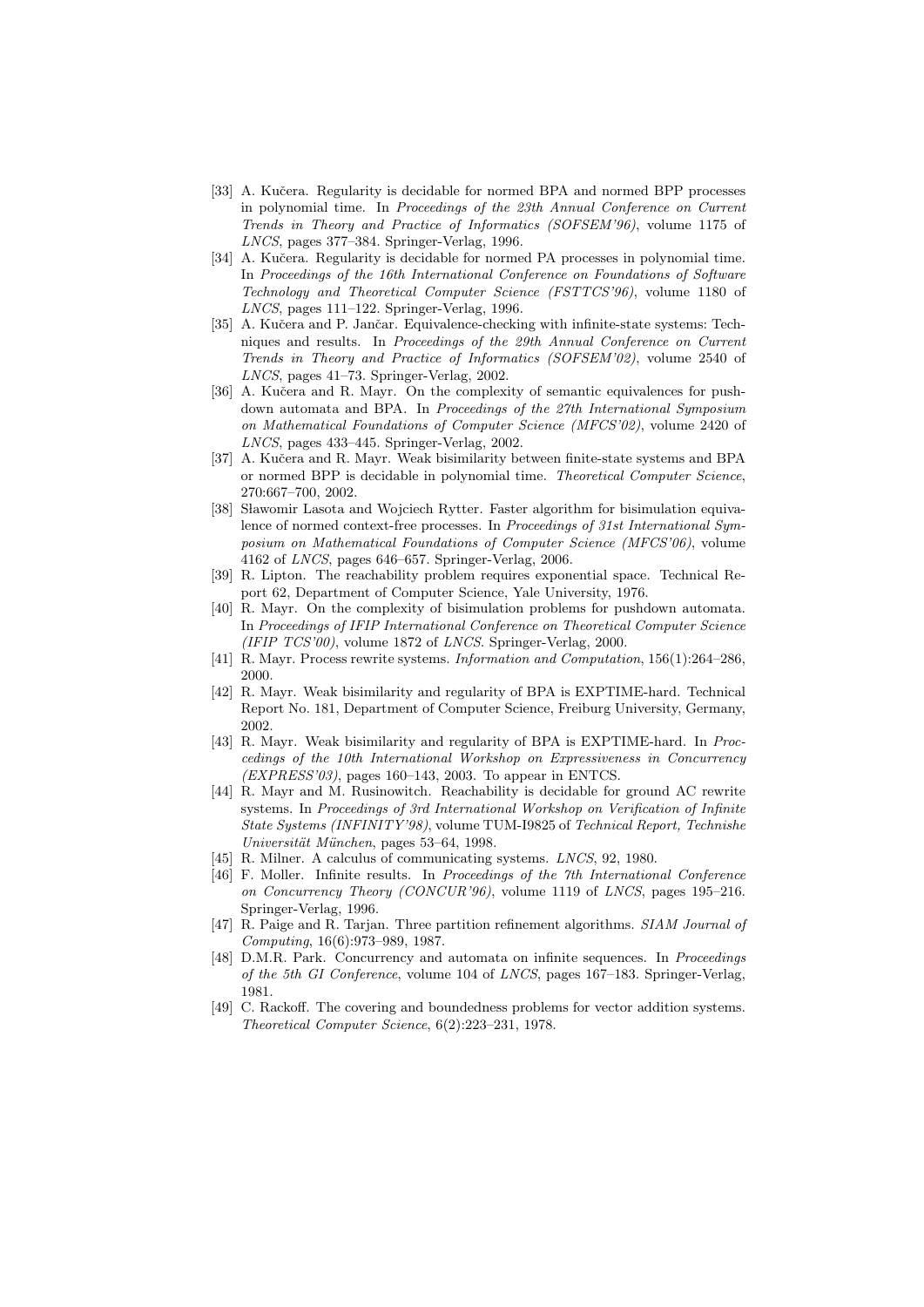- [33] A. Kučera. Regularity is decidable for normed BPA and normed BPP processes in polynomial time. In Proceedings of the 23th Annual Conference on Current Trends in Theory and Practice of Informatics (SOFSEM'96), volume 1175 of LNCS, pages 377–384. Springer-Verlag, 1996.
- [34] A. Kučera. Regularity is decidable for normed PA processes in polynomial time. In Proceedings of the 16th International Conference on Foundations of Software Technology and Theoretical Computer Science (FSTTCS'96), volume 1180 of LNCS, pages 111–122. Springer-Verlag, 1996.
- [35] A. Kučera and P. Jančar. Equivalence-checking with infinite-state systems: Techniques and results. In Proceedings of the 29th Annual Conference on Current Trends in Theory and Practice of Informatics (SOFSEM'02), volume 2540 of LNCS, pages 41–73. Springer-Verlag, 2002.
- [36] A. Kučera and R. Mayr. On the complexity of semantic equivalences for pushdown automata and BPA. In Proceedings of the 27th International Symposium on Mathematical Foundations of Computer Science (MFCS'02), volume 2420 of LNCS, pages 433–445. Springer-Verlag, 2002.
- [37] A. Kučera and R. Mayr. Weak bisimilarity between finite-state systems and BPA or normed BPP is decidable in polynomial time. Theoretical Computer Science, 270:667–700, 2002.
- [38] Sławomir Lasota and Wojciech Rytter. Faster algorithm for bisimulation equivalence of normed context-free processes. In Proceedings of 31st International Symposium on Mathematical Foundations of Computer Science (MFCS'06), volume 4162 of LNCS, pages 646–657. Springer-Verlag, 2006.
- [39] R. Lipton. The reachability problem requires exponential space. Technical Report 62, Department of Computer Science, Yale University, 1976.
- [40] R. Mayr. On the complexity of bisimulation problems for pushdown automata. In Proceedings of IFIP International Conference on Theoretical Computer Science  $(IFIP TCS'00)$ , volume 1872 of *LNCS*. Springer-Verlag, 2000.
- [41] R. Mayr. Process rewrite systems. Information and Computation, 156(1):264–286, 2000.
- [42] R. Mayr. Weak bisimilarity and regularity of BPA is EXPTIME-hard. Technical Report No. 181, Department of Computer Science, Freiburg University, Germany, 2002.
- [43] R. Mayr. Weak bisimilarity and regularity of BPA is EXPTIME-hard. In Proccedings of the 10th International Workshop on Expressiveness in Concurrency  $(EXPRESS'03)$ , pages 160–143, 2003. To appear in ENTCS.
- [44] R. Mayr and M. Rusinowitch. Reachability is decidable for ground AC rewrite systems. In Proceedings of 3rd International Workshop on Verification of Infinite State Systems (INFINITY'98), volume TUM-I9825 of Technical Report, Technishe Universität München, pages 53–64, 1998.
- [45] R. Milner. A calculus of communicating systems. LNCS, 92, 1980.
- [46] F. Moller. Infinite results. In Proceedings of the 7th International Conference on Concurrency Theory (CONCUR'96), volume 1119 of LNCS, pages 195–216. Springer-Verlag, 1996.
- [47] R. Paige and R. Tarjan. Three partition refinement algorithms. SIAM Journal of Computing, 16(6):973–989, 1987.
- [48] D.M.R. Park. Concurrency and automata on infinite sequences. In Proceedings of the 5th GI Conference, volume 104 of LNCS, pages 167–183. Springer-Verlag, 1981.
- [49] C. Rackoff. The covering and boundedness problems for vector addition systems. Theoretical Computer Science, 6(2):223–231, 1978.